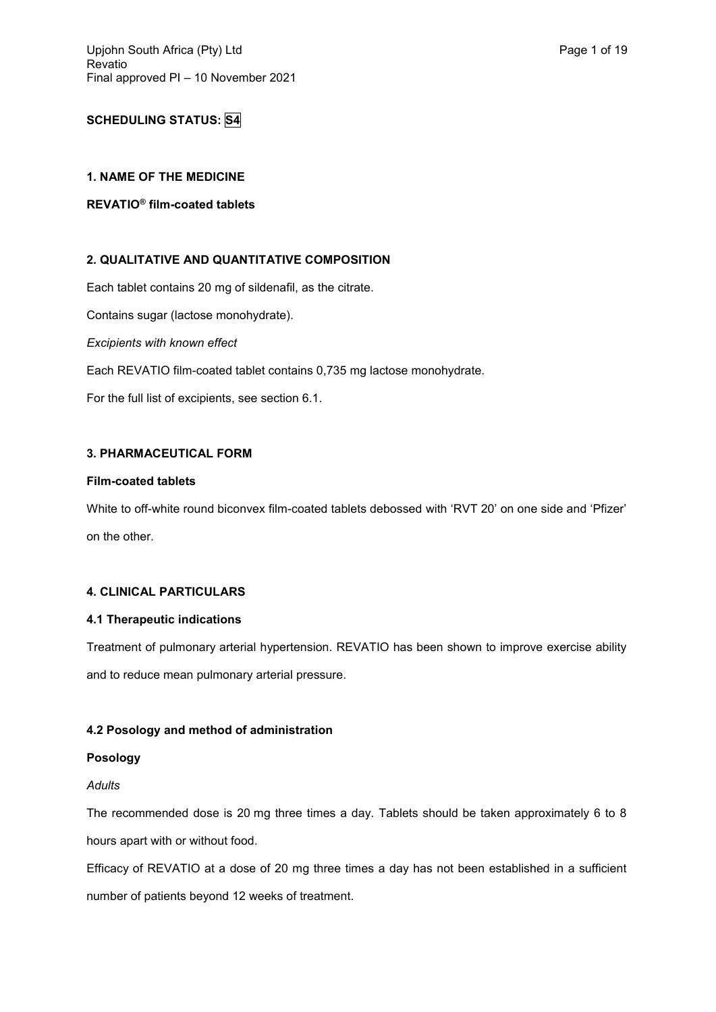# **SCHEDULING STATUS: S4**

## **1. NAME OF THE MEDICINE**

# **REVATIO® film-coated tablets**

## **2. QUALITATIVE AND QUANTITATIVE COMPOSITION**

Each tablet contains 20 mg of sildenafil, as the citrate.

Contains sugar (lactose monohydrate).

*Excipients with known effect*

Each REVATIO film-coated tablet contains 0,735 mg lactose monohydrate.

For the full list of excipients, see section 6.1.

## **3. PHARMACEUTICAL FORM**

### **Film-coated tablets**

White to off-white round biconvex film-coated tablets debossed with 'RVT 20' on one side and 'Pfizer' on the other.

# **4. CLINICAL PARTICULARS**

### **4.1 Therapeutic indications**

Treatment of pulmonary arterial hypertension. REVATIO has been shown to improve exercise ability and to reduce mean pulmonary arterial pressure.

## **4.2 Posology and method of administration**

## **Posology**

## *Adults*

The recommended dose is 20 mg three times a day. Tablets should be taken approximately 6 to 8 hours apart with or without food.

Efficacy of REVATIO at a dose of 20 mg three times a day has not been established in a sufficient number of patients beyond 12 weeks of treatment.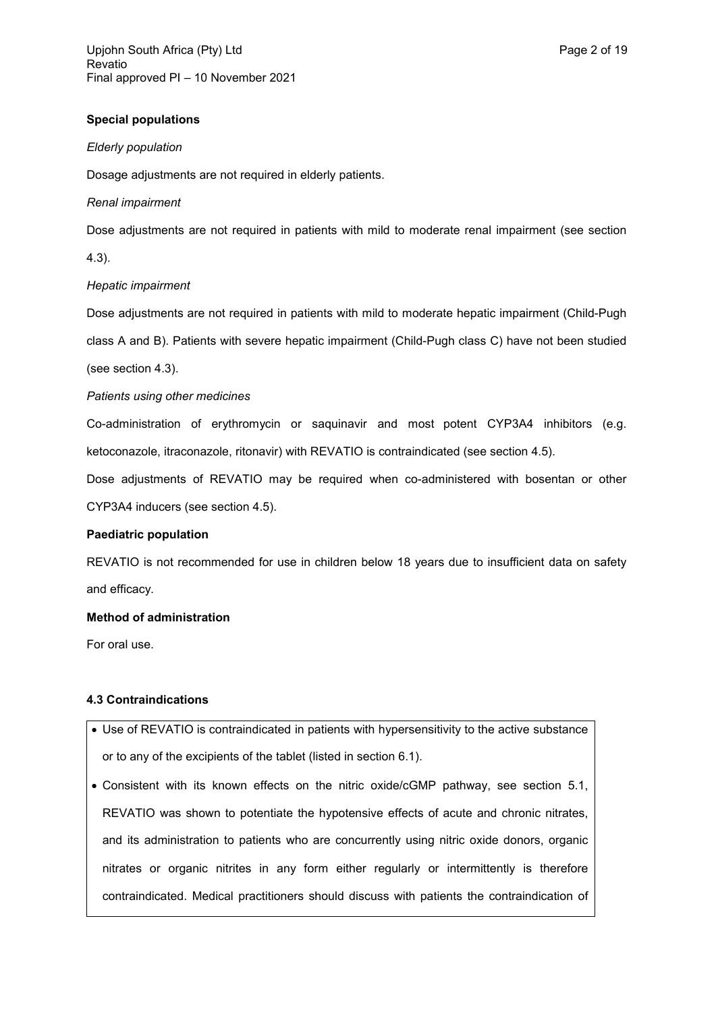## **Special populations**

### *Elderly population*

Dosage adjustments are not required in elderly patients.

### *Renal impairment*

Dose adjustments are not required in patients with mild to moderate renal impairment (see section

4.3).

## *Hepatic impairment*

Dose adjustments are not required in patients with mild to moderate hepatic impairment (Child-Pugh class A and B). Patients with severe hepatic impairment (Child-Pugh class C) have not been studied (see section 4.3).

## *Patients using other medicines*

Co-administration of erythromycin or saquinavir and most potent CYP3A4 inhibitors (e.g. ketoconazole, itraconazole, ritonavir) with REVATIO is contraindicated (see section 4.5).

Dose adjustments of REVATIO may be required when co-administered with bosentan or other CYP3A4 inducers (see section 4.5).

## **Paediatric population**

REVATIO is not recommended for use in children below 18 years due to insufficient data on safety and efficacy.

### **Method of administration**

For oral use.

### **4.3 Contraindications**

- Use of REVATIO is contraindicated in patients with hypersensitivity to the active substance or to any of the excipients of the tablet (listed in section 6.1).
- Consistent with its known effects on the nitric oxide/cGMP pathway, see section 5.1, REVATIO was shown to potentiate the hypotensive effects of acute and chronic nitrates, and its administration to patients who are concurrently using nitric oxide donors, organic nitrates or organic nitrites in any form either regularly or intermittently is therefore contraindicated. Medical practitioners should discuss with patients the contraindication of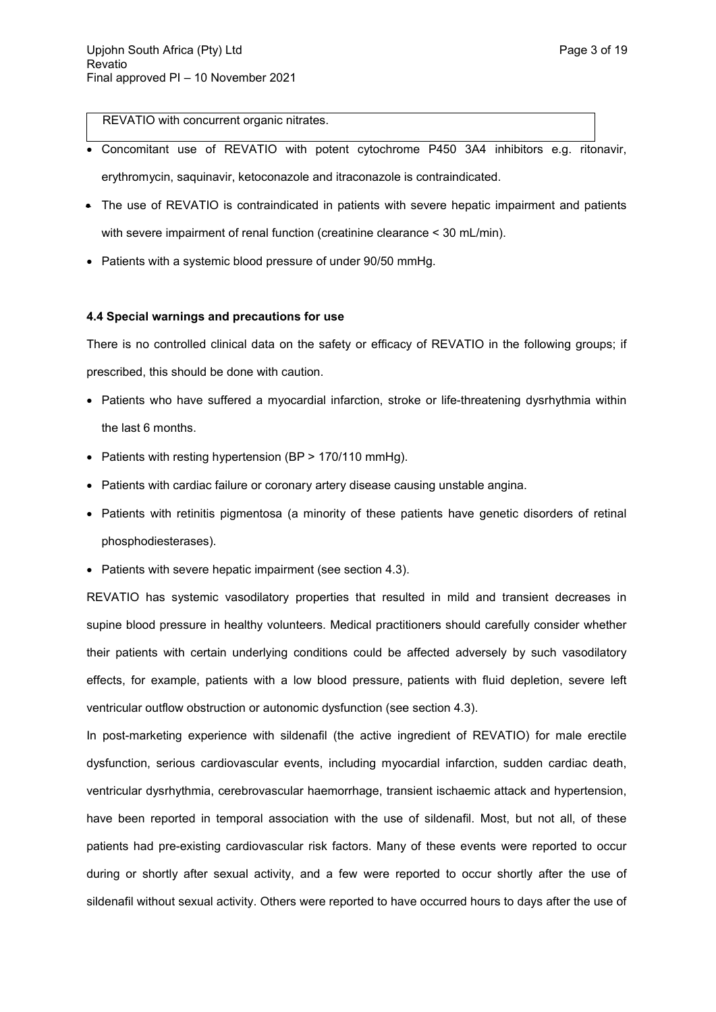REVATIO with concurrent organic nitrates.

- Concomitant use of REVATIO with potent cytochrome P450 3A4 inhibitors e.g. ritonavir, erythromycin, saquinavir, ketoconazole and itraconazole is contraindicated.
- The use of REVATIO is contraindicated in patients with severe hepatic impairment and patients with severe impairment of renal function (creatinine clearance < 30 mL/min).
- Patients with a systemic blood pressure of under 90/50 mmHg.

### **4.4 Special warnings and precautions for use**

There is no controlled clinical data on the safety or efficacy of REVATIO in the following groups; if prescribed, this should be done with caution.

- Patients who have suffered a myocardial infarction, stroke or life-threatening dysrhythmia within the last 6 months.
- Patients with resting hypertension (BP > 170/110 mmHg).
- Patients with cardiac failure or coronary artery disease causing unstable angina.
- Patients with retinitis pigmentosa (a minority of these patients have genetic disorders of retinal phosphodiesterases).
- Patients with severe hepatic impairment (see section 4.3).

REVATIO has systemic vasodilatory properties that resulted in mild and transient decreases in supine blood pressure in healthy volunteers. Medical practitioners should carefully consider whether their patients with certain underlying conditions could be affected adversely by such vasodilatory effects, for example, patients with a low blood pressure, patients with fluid depletion, severe left ventricular outflow obstruction or autonomic dysfunction (see section 4.3).

In post-marketing experience with sildenafil (the active ingredient of REVATIO) for male erectile dysfunction, serious cardiovascular events, including myocardial infarction, sudden cardiac death, ventricular dysrhythmia, cerebrovascular haemorrhage, transient ischaemic attack and hypertension, have been reported in temporal association with the use of sildenafil. Most, but not all, of these patients had pre-existing cardiovascular risk factors. Many of these events were reported to occur during or shortly after sexual activity, and a few were reported to occur shortly after the use of sildenafil without sexual activity. Others were reported to have occurred hours to days after the use of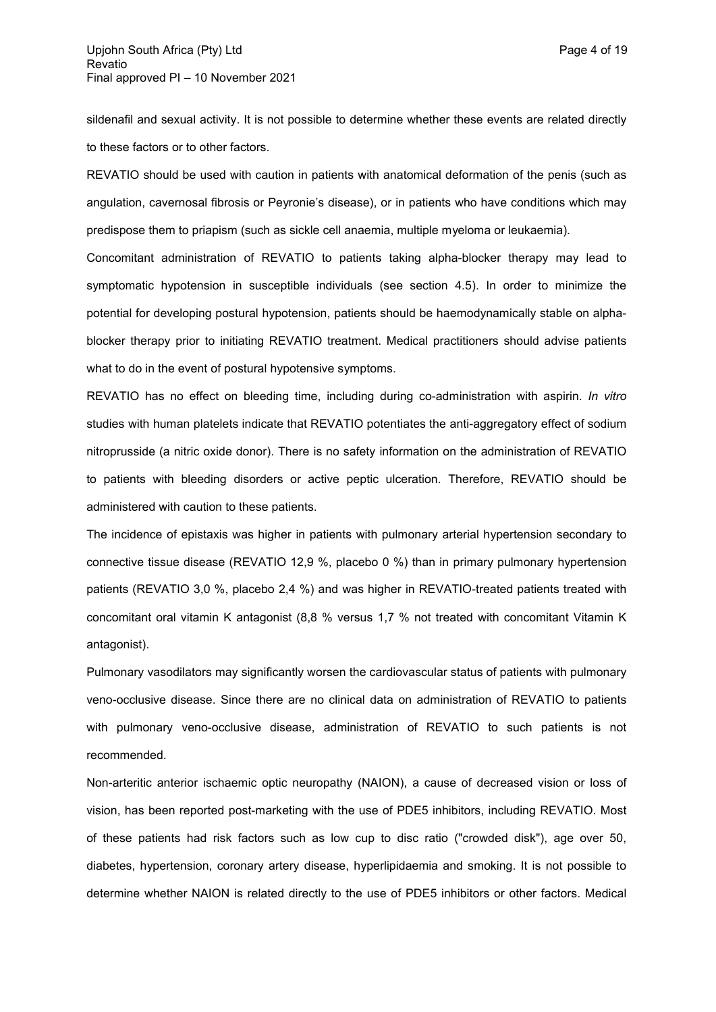sildenafil and sexual activity. It is not possible to determine whether these events are related directly to these factors or to other factors.

REVATIO should be used with caution in patients with anatomical deformation of the penis (such as angulation, cavernosal fibrosis or Peyronie's disease), or in patients who have conditions which may predispose them to priapism (such as sickle cell anaemia, multiple myeloma or leukaemia).

Concomitant administration of REVATIO to patients taking alpha-blocker therapy may lead to symptomatic hypotension in susceptible individuals (see section 4.5). In order to minimize the potential for developing postural hypotension, patients should be haemodynamically stable on alphablocker therapy prior to initiating REVATIO treatment. Medical practitioners should advise patients what to do in the event of postural hypotensive symptoms.

REVATIO has no effect on bleeding time, including during co-administration with aspirin. *In vitro* studies with human platelets indicate that REVATIO potentiates the anti-aggregatory effect of sodium nitroprusside (a nitric oxide donor). There is no safety information on the administration of REVATIO to patients with bleeding disorders or active peptic ulceration. Therefore, REVATIO should be administered with caution to these patients.

The incidence of epistaxis was higher in patients with pulmonary arterial hypertension secondary to connective tissue disease (REVATIO 12,9 %, placebo 0 %) than in primary pulmonary hypertension patients (REVATIO 3,0 %, placebo 2,4 %) and was higher in REVATIO-treated patients treated with concomitant oral vitamin K antagonist (8,8 % versus 1,7 % not treated with concomitant Vitamin K antagonist).

Pulmonary vasodilators may significantly worsen the cardiovascular status of patients with pulmonary veno-occlusive disease. Since there are no clinical data on administration of REVATIO to patients with pulmonary veno-occlusive disease, administration of REVATIO to such patients is not recommended.

Non-arteritic anterior ischaemic optic neuropathy (NAION), a cause of decreased vision or loss of vision, has been reported post-marketing with the use of PDE5 inhibitors, including REVATIO. Most of these patients had risk factors such as low cup to disc ratio ("crowded disk"), age over 50, diabetes, hypertension, coronary artery disease, hyperlipidaemia and smoking. It is not possible to determine whether NAION is related directly to the use of PDE5 inhibitors or other factors. Medical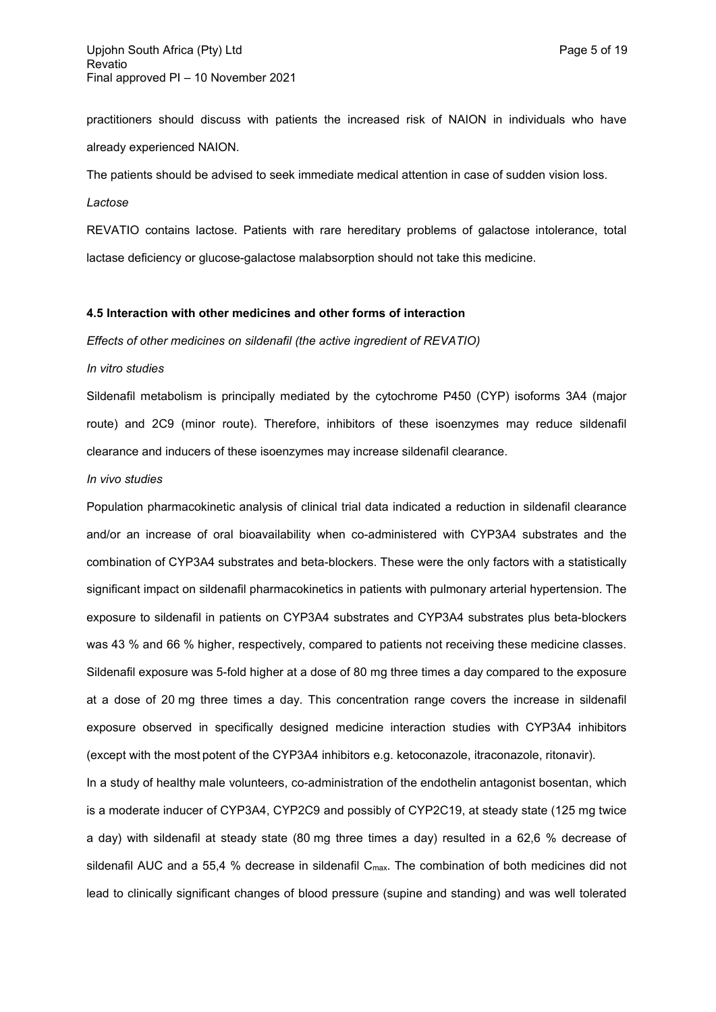practitioners should discuss with patients the increased risk of NAION in individuals who have already experienced NAION.

The patients should be advised to seek immediate medical attention in case of sudden vision loss.

*Lactose*

REVATIO contains lactose. Patients with rare hereditary problems of galactose intolerance, total lactase deficiency or glucose-galactose malabsorption should not take this medicine.

### **4.5 Interaction with other medicines and other forms of interaction**

*Effects of other medicines on sildenafil (the active ingredient of REVATIO)*

#### *In vitro studies*

Sildenafil metabolism is principally mediated by the cytochrome P450 (CYP) isoforms 3A4 (major route) and 2C9 (minor route). Therefore, inhibitors of these isoenzymes may reduce sildenafil clearance and inducers of these isoenzymes may increase sildenafil clearance.

### *In vivo studies*

Population pharmacokinetic analysis of clinical trial data indicated a reduction in sildenafil clearance and/or an increase of oral bioavailability when co-administered with CYP3A4 substrates and the combination of CYP3A4 substrates and beta-blockers. These were the only factors with a statistically significant impact on sildenafil pharmacokinetics in patients with pulmonary arterial hypertension. The exposure to sildenafil in patients on CYP3A4 substrates and CYP3A4 substrates plus beta-blockers was 43 % and 66 % higher, respectively, compared to patients not receiving these medicine classes. Sildenafil exposure was 5-fold higher at a dose of 80 mg three times a day compared to the exposure at a dose of 20 mg three times a day. This concentration range covers the increase in sildenafil exposure observed in specifically designed medicine interaction studies with CYP3A4 inhibitors (except with the most potent of the CYP3A4 inhibitors e.g. ketoconazole, itraconazole, ritonavir).

In a study of healthy male volunteers, co-administration of the endothelin antagonist bosentan, which is a moderate inducer of CYP3A4, CYP2C9 and possibly of CYP2C19, at steady state (125 mg twice a day) with sildenafil at steady state (80 mg three times a day) resulted in a 62,6 % decrease of sildenafil AUC and a 55,4 % decrease in sildenafil  $C_{\text{max}}$ . The combination of both medicines did not lead to clinically significant changes of blood pressure (supine and standing) and was well tolerated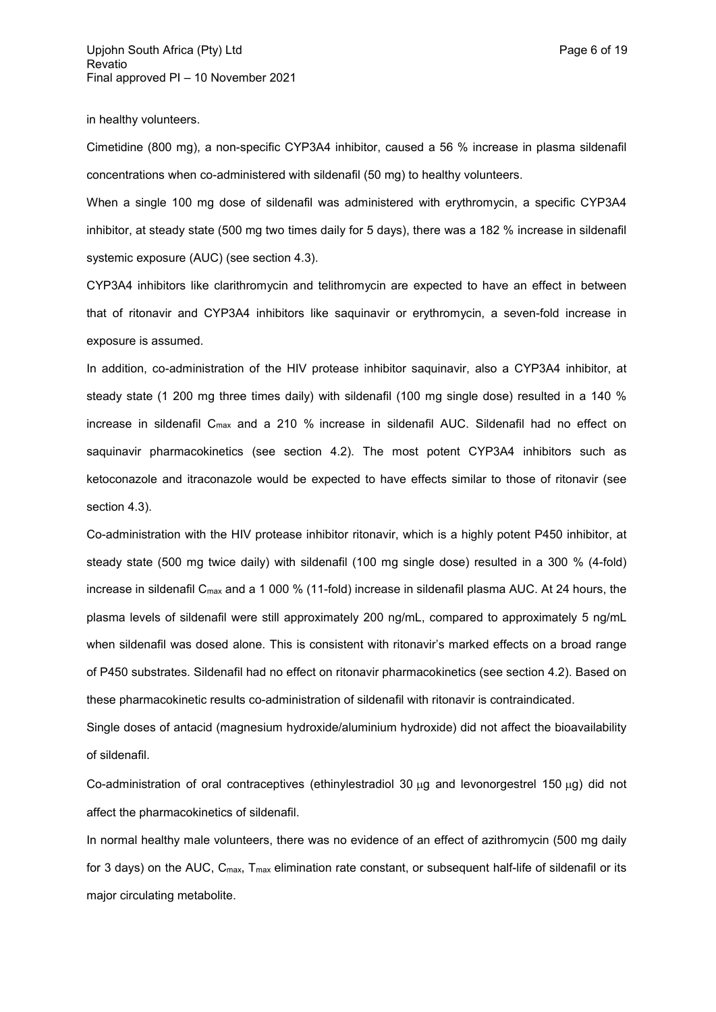in healthy volunteers.

Cimetidine (800 mg), a non-specific CYP3A4 inhibitor, caused a 56 % increase in plasma sildenafil concentrations when co-administered with sildenafil (50 mg) to healthy volunteers.

When a single 100 mg dose of sildenafil was administered with erythromycin, a specific CYP3A4 inhibitor, at steady state (500 mg two times daily for 5 days), there was a 182 % increase in sildenafil systemic exposure (AUC) (see section 4.3).

CYP3A4 inhibitors like clarithromycin and telithromycin are expected to have an effect in between that of ritonavir and CYP3A4 inhibitors like saquinavir or erythromycin, a seven-fold increase in exposure is assumed.

In addition, co-administration of the HIV protease inhibitor saquinavir, also a CYP3A4 inhibitor, at steady state (1 200 mg three times daily) with sildenafil (100 mg single dose) resulted in a 140 % increase in sildenafil C<sub>max</sub> and a 210 % increase in sildenafil AUC. Sildenafil had no effect on saquinavir pharmacokinetics (see section 4.2). The most potent CYP3A4 inhibitors such as ketoconazole and itraconazole would be expected to have effects similar to those of ritonavir (see section 4.3).

Co-administration with the HIV protease inhibitor ritonavir, which is a highly potent P450 inhibitor, at steady state (500 mg twice daily) with sildenafil (100 mg single dose) resulted in a 300 % (4-fold) increase in sildenafil C<sub>max</sub> and a 1 000 % (11-fold) increase in sildenafil plasma AUC. At 24 hours, the plasma levels of sildenafil were still approximately 200 ng/mL, compared to approximately 5 ng/mL when sildenafil was dosed alone. This is consistent with ritonavir's marked effects on a broad range of P450 substrates. Sildenafil had no effect on ritonavir pharmacokinetics (see section 4.2). Based on these pharmacokinetic results co-administration of sildenafil with ritonavir is contraindicated.

Single doses of antacid (magnesium hydroxide/aluminium hydroxide) did not affect the bioavailability of sildenafil.

Co-administration of oral contraceptives (ethinylestradiol 30  $\mu$ g and levonorgestrel 150  $\mu$ g) did not affect the pharmacokinetics of sildenafil.

In normal healthy male volunteers, there was no evidence of an effect of azithromycin (500 mg daily for 3 days) on the AUC, C<sub>max</sub>, T<sub>max</sub> elimination rate constant, or subsequent half-life of sildenafil or its major circulating metabolite.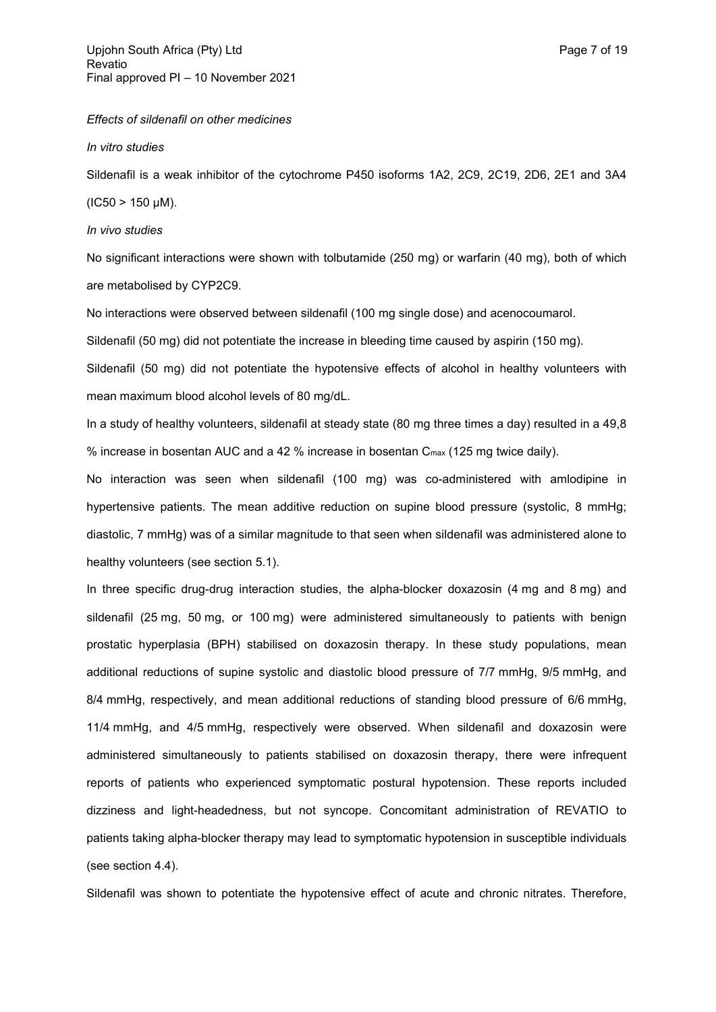*Effects of sildenafil on other medicines*

*In vitro studies*

Sildenafil is a weak inhibitor of the cytochrome P450 isoforms 1A2, 2C9, 2C19, 2D6, 2E1 and 3A4  $(IC50 > 150 \mu M).$ 

*In vivo studies*

No significant interactions were shown with tolbutamide (250 mg) or warfarin (40 mg), both of which are metabolised by CYP2C9.

No interactions were observed between sildenafil (100 mg single dose) and acenocoumarol.

Sildenafil (50 mg) did not potentiate the increase in bleeding time caused by aspirin (150 mg).

Sildenafil (50 mg) did not potentiate the hypotensive effects of alcohol in healthy volunteers with mean maximum blood alcohol levels of 80 mg/dL.

In a study of healthy volunteers, sildenafil at steady state (80 mg three times a day) resulted in a 49,8 % increase in bosentan AUC and a 42 % increase in bosentan  $C_{\text{max}}$  (125 mg twice daily).

No interaction was seen when sildenafil (100 mg) was co-administered with amlodipine in hypertensive patients. The mean additive reduction on supine blood pressure (systolic, 8 mmHg; diastolic, 7 mmHg) was of a similar magnitude to that seen when sildenafil was administered alone to healthy volunteers (see section 5.1).

In three specific drug-drug interaction studies, the alpha-blocker doxazosin (4 mg and 8 mg) and sildenafil (25 mg, 50 mg, or 100 mg) were administered simultaneously to patients with benign prostatic hyperplasia (BPH) stabilised on doxazosin therapy. In these study populations, mean additional reductions of supine systolic and diastolic blood pressure of 7/7 mmHg, 9/5 mmHg, and 8/4 mmHg, respectively, and mean additional reductions of standing blood pressure of 6/6 mmHg, 11/4 mmHg, and 4/5 mmHg, respectively were observed. When sildenafil and doxazosin were administered simultaneously to patients stabilised on doxazosin therapy, there were infrequent reports of patients who experienced symptomatic postural hypotension. These reports included dizziness and light-headedness, but not syncope. Concomitant administration of REVATIO to patients taking alpha-blocker therapy may lead to symptomatic hypotension in susceptible individuals (see section 4.4).

Sildenafil was shown to potentiate the hypotensive effect of acute and chronic nitrates. Therefore,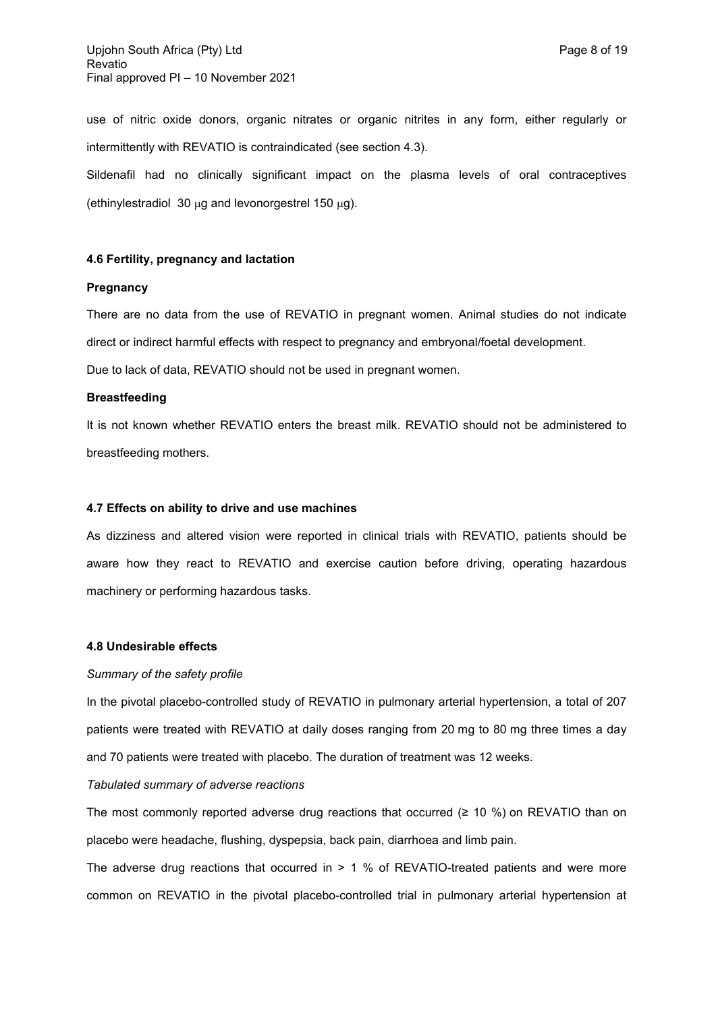use of nitric oxide donors, organic nitrates or organic nitrites in any form, either regularly or intermittently with REVATIO is contraindicated (see section 4.3).

Sildenafil had no clinically significant impact on the plasma levels of oral contraceptives (ethinylestradiol 30  $\mu$ g and levonorgestrel 150  $\mu$ g).

### **4.6 Fertility, pregnancy and lactation**

### **Pregnancy**

There are no data from the use of REVATIO in pregnant women. Animal studies do not indicate direct or indirect harmful effects with respect to pregnancy and embryonal/foetal development. Due to lack of data, REVATIO should not be used in pregnant women.

## **Breastfeeding**

It is not known whether REVATIO enters the breast milk. REVATIO should not be administered to breastfeeding mothers.

#### **4.7 Effects on ability to drive and use machines**

As dizziness and altered vision were reported in clinical trials with REVATIO, patients should be aware how they react to REVATIO and exercise caution before driving, operating hazardous machinery or performing hazardous tasks.

### **4.8 Undesirable effects**

#### *Summary of the safety profile*

In the pivotal placebo-controlled study of REVATIO in pulmonary arterial hypertension, a total of 207 patients were treated with REVATIO at daily doses ranging from 20 mg to 80 mg three times a day and 70 patients were treated with placebo. The duration of treatment was 12 weeks.

### *Tabulated summary of adverse reactions*

The most commonly reported adverse drug reactions that occurred  $(≥ 10 %)$  on REVATIO than on placebo were headache, flushing, dyspepsia, back pain, diarrhoea and limb pain.

The adverse drug reactions that occurred in > 1 % of REVATIO-treated patients and were more common on REVATIO in the pivotal placebo-controlled trial in pulmonary arterial hypertension at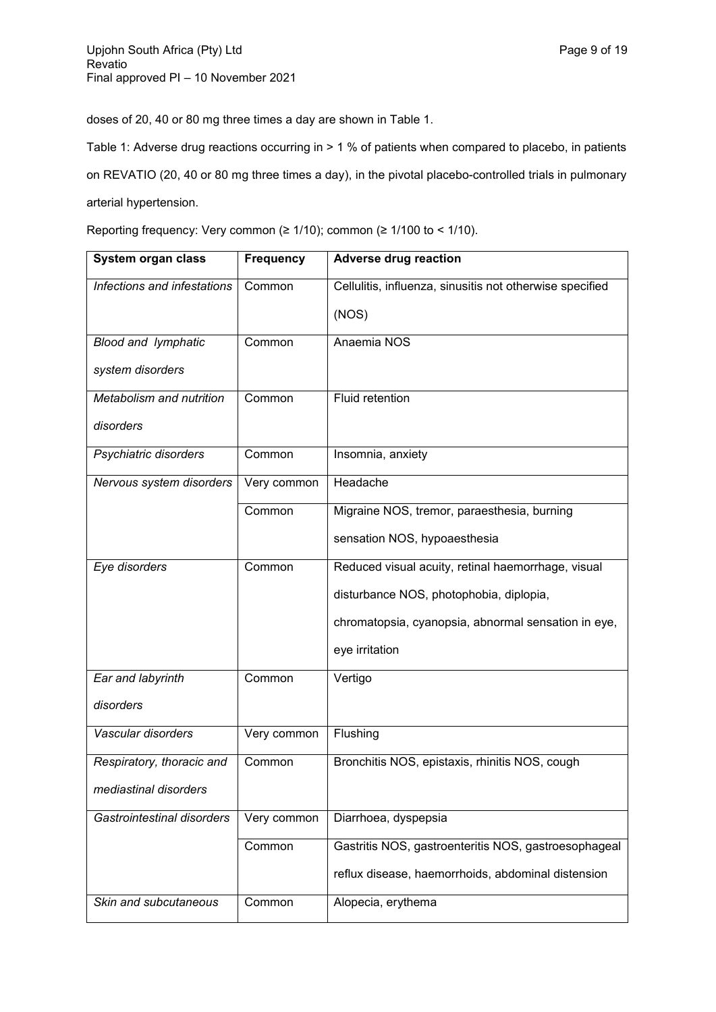doses of 20, 40 or 80 mg three times a day are shown in Table 1.

Table 1: Adverse drug reactions occurring in > 1 % of patients when compared to placebo, in patients

on REVATIO (20, 40 or 80 mg three times a day), in the pivotal placebo-controlled trials in pulmonary arterial hypertension.

Reporting frequency: Very common (≥ 1/10); common (≥ 1/100 to < 1/10).

| System organ class          | <b>Frequency</b> | <b>Adverse drug reaction</b>                             |
|-----------------------------|------------------|----------------------------------------------------------|
| Infections and infestations | Common           | Cellulitis, influenza, sinusitis not otherwise specified |
|                             |                  | (NOS)                                                    |
| <b>Blood and lymphatic</b>  | Common           | Anaemia NOS                                              |
| system disorders            |                  |                                                          |
| Metabolism and nutrition    | Common           | <b>Fluid retention</b>                                   |
| disorders                   |                  |                                                          |
| Psychiatric disorders       | Common           | Insomnia, anxiety                                        |
| Nervous system disorders    | Very common      | Headache                                                 |
|                             | Common           | Migraine NOS, tremor, paraesthesia, burning              |
|                             |                  | sensation NOS, hypoaesthesia                             |
| Eye disorders               | Common           | Reduced visual acuity, retinal haemorrhage, visual       |
|                             |                  | disturbance NOS, photophobia, diplopia,                  |
|                             |                  | chromatopsia, cyanopsia, abnormal sensation in eye,      |
|                             |                  | eye irritation                                           |
| Ear and labyrinth           | Common           | Vertigo                                                  |
| disorders                   |                  |                                                          |
| Vascular disorders          | Very common      | Flushing                                                 |
| Respiratory, thoracic and   | Common           | Bronchitis NOS, epistaxis, rhinitis NOS, cough           |
| mediastinal disorders       |                  |                                                          |
| Gastrointestinal disorders  | Very common      | Diarrhoea, dyspepsia                                     |
|                             | Common           | Gastritis NOS, gastroenteritis NOS, gastroesophageal     |
|                             |                  | reflux disease, haemorrhoids, abdominal distension       |
| Skin and subcutaneous       | Common           | Alopecia, erythema                                       |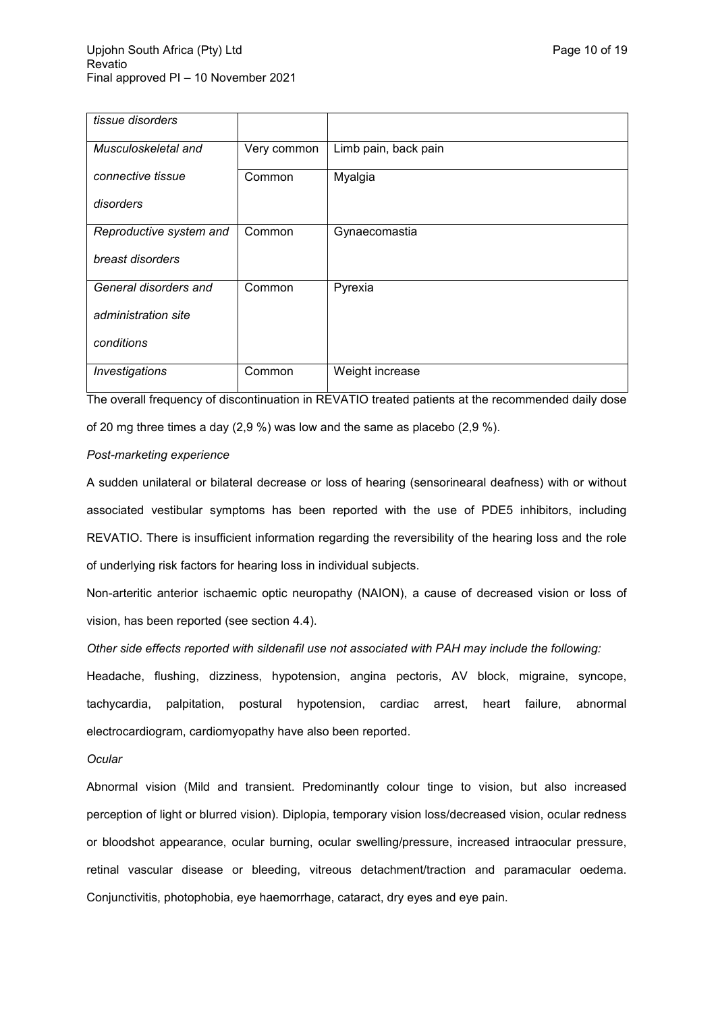| tissue disorders        |             |                      |
|-------------------------|-------------|----------------------|
| Musculoskeletal and     | Very common | Limb pain, back pain |
| connective tissue       | Common      | Myalgia              |
| disorders               |             |                      |
| Reproductive system and | Common      | Gynaecomastia        |
| breast disorders        |             |                      |
| General disorders and   | Common      | Pyrexia              |
| administration site     |             |                      |
| conditions              |             |                      |
| Investigations          | Common      | Weight increase      |

The overall frequency of discontinuation in REVATIO treated patients at the recommended daily dose of 20 mg three times a day (2,9 %) was low and the same as placebo (2,9 %).

### *Post-marketing experience*

A sudden unilateral or bilateral decrease or loss of hearing (sensorinearal deafness) with or without associated vestibular symptoms has been reported with the use of PDE5 inhibitors, including REVATIO. There is insufficient information regarding the reversibility of the hearing loss and the role of underlying risk factors for hearing loss in individual subjects.

Non-arteritic anterior ischaemic optic neuropathy (NAION), a cause of decreased vision or loss of vision, has been reported (see section 4.4).

## *Other side effects reported with sildenafil use not associated with PAH may include the following:*

Headache, flushing, dizziness, hypotension, angina pectoris, AV block, migraine, syncope, tachycardia, palpitation, postural hypotension, cardiac arrest, heart failure, abnormal electrocardiogram, cardiomyopathy have also been reported.

### *Ocular*

Abnormal vision (Mild and transient. Predominantly colour tinge to vision, but also increased perception of light or blurred vision). Diplopia, temporary vision loss/decreased vision, ocular redness or bloodshot appearance, ocular burning, ocular swelling/pressure, increased intraocular pressure, retinal vascular disease or bleeding, vitreous detachment/traction and paramacular oedema. Conjunctivitis, photophobia, eye haemorrhage, cataract, dry eyes and eye pain.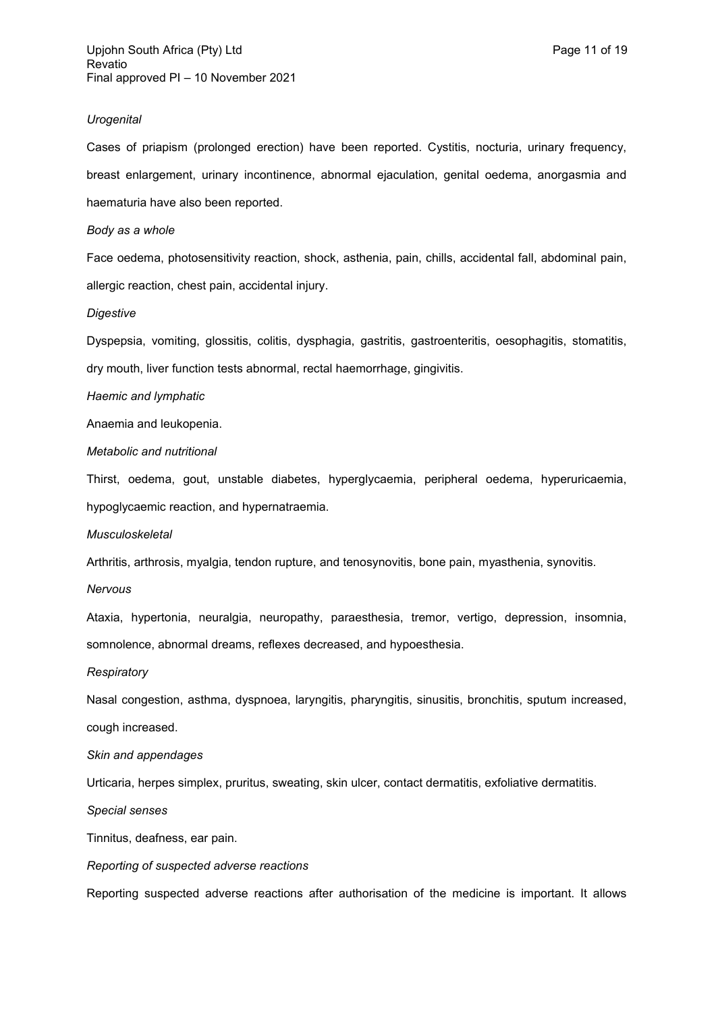#### *Urogenital*

Cases of priapism (prolonged erection) have been reported. Cystitis, nocturia, urinary frequency, breast enlargement, urinary incontinence, abnormal ejaculation, genital oedema, anorgasmia and haematuria have also been reported.

#### *Body as a whole*

Face oedema, photosensitivity reaction, shock, asthenia, pain, chills, accidental fall, abdominal pain, allergic reaction, chest pain, accidental injury.

#### *Digestive*

Dyspepsia, vomiting, glossitis, colitis, dysphagia, gastritis, gastroenteritis, oesophagitis, stomatitis, dry mouth, liver function tests abnormal, rectal haemorrhage, gingivitis.

#### *Haemic and lymphatic*

Anaemia and leukopenia.

*Metabolic and nutritional*

Thirst, oedema, gout, unstable diabetes, hyperglycaemia, peripheral oedema, hyperuricaemia, hypoglycaemic reaction, and hypernatraemia.

*Musculoskeletal*

Arthritis, arthrosis, myalgia, tendon rupture, and tenosynovitis, bone pain, myasthenia, synovitis.

#### *Nervous*

Ataxia, hypertonia, neuralgia, neuropathy, paraesthesia, tremor, vertigo, depression, insomnia, somnolence, abnormal dreams, reflexes decreased, and hypoesthesia.

#### *Respiratory*

Nasal congestion, asthma, dyspnoea, laryngitis, pharyngitis, sinusitis, bronchitis, sputum increased, cough increased.

### *Skin and appendages*

Urticaria, herpes simplex, pruritus, sweating, skin ulcer, contact dermatitis, exfoliative dermatitis.

*Special senses*

Tinnitus, deafness, ear pain.

#### *Reporting of suspected adverse reactions*

Reporting suspected adverse reactions after authorisation of the medicine is important. It allows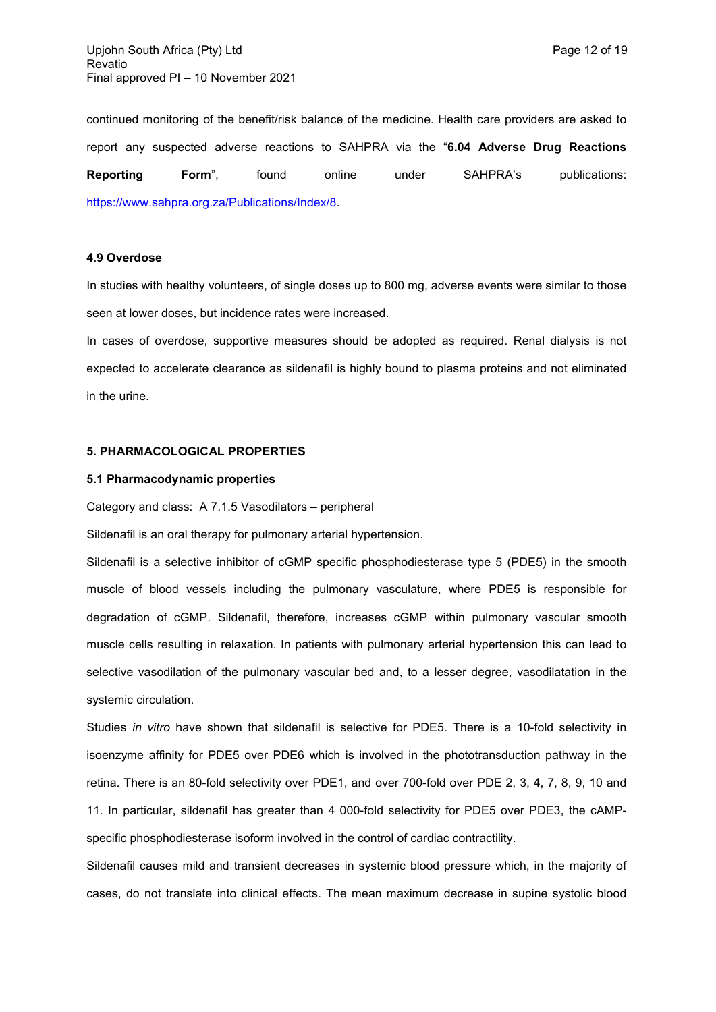continued monitoring of the benefit/risk balance of the medicine. Health care providers are asked to report any suspected adverse reactions to SAHPRA via the "**6.04 Adverse Drug Reactions Reporting Form**", found online under SAHPRA's publications: https://www.sahpra.org.za/Publications/Index/8.

## **4.9 Overdose**

In studies with healthy volunteers, of single doses up to 800 mg, adverse events were similar to those seen at lower doses, but incidence rates were increased.

In cases of overdose, supportive measures should be adopted as required. Renal dialysis is not expected to accelerate clearance as sildenafil is highly bound to plasma proteins and not eliminated in the urine.

### **5. PHARMACOLOGICAL PROPERTIES**

#### **5.1 Pharmacodynamic properties**

Category and class: A 7.1.5 Vasodilators – peripheral

Sildenafil is an oral therapy for pulmonary arterial hypertension.

Sildenafil is a selective inhibitor of cGMP specific phosphodiesterase type 5 (PDE5) in the smooth muscle of blood vessels including the pulmonary vasculature, where PDE5 is responsible for degradation of cGMP. Sildenafil, therefore, increases cGMP within pulmonary vascular smooth muscle cells resulting in relaxation. In patients with pulmonary arterial hypertension this can lead to selective vasodilation of the pulmonary vascular bed and, to a lesser degree, vasodilatation in the systemic circulation.

Studies *in vitro* have shown that sildenafil is selective for PDE5. There is a 10-fold selectivity in isoenzyme affinity for PDE5 over PDE6 which is involved in the phototransduction pathway in the retina. There is an 80-fold selectivity over PDE1, and over 700-fold over PDE 2, 3, 4, 7, 8, 9, 10 and 11. In particular, sildenafil has greater than 4 000-fold selectivity for PDE5 over PDE3, the cAMPspecific phosphodiesterase isoform involved in the control of cardiac contractility.

Sildenafil causes mild and transient decreases in systemic blood pressure which, in the majority of cases, do not translate into clinical effects. The mean maximum decrease in supine systolic blood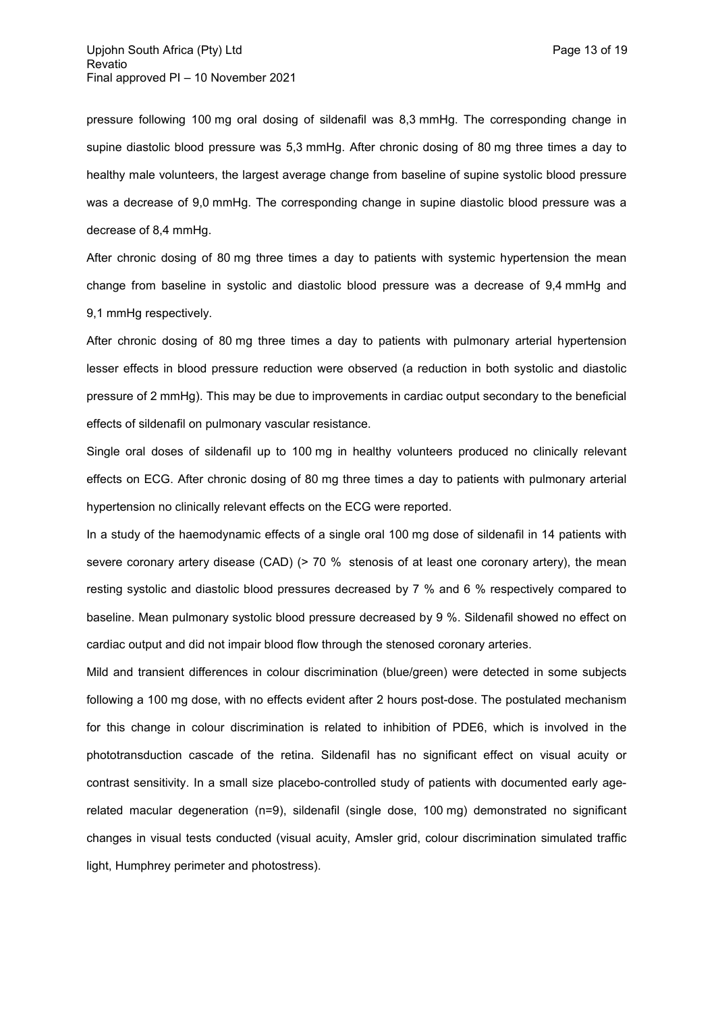pressure following 100 mg oral dosing of sildenafil was 8,3 mmHg. The corresponding change in supine diastolic blood pressure was 5,3 mmHg. After chronic dosing of 80 mg three times a day to healthy male volunteers, the largest average change from baseline of supine systolic blood pressure was a decrease of 9,0 mmHg. The corresponding change in supine diastolic blood pressure was a decrease of 8,4 mmHg.

After chronic dosing of 80 mg three times a day to patients with systemic hypertension the mean change from baseline in systolic and diastolic blood pressure was a decrease of 9,4 mmHg and 9,1 mmHg respectively.

After chronic dosing of 80 mg three times a day to patients with pulmonary arterial hypertension lesser effects in blood pressure reduction were observed (a reduction in both systolic and diastolic pressure of 2 mmHg). This may be due to improvements in cardiac output secondary to the beneficial effects of sildenafil on pulmonary vascular resistance.

Single oral doses of sildenafil up to 100 mg in healthy volunteers produced no clinically relevant effects on ECG. After chronic dosing of 80 mg three times a day to patients with pulmonary arterial hypertension no clinically relevant effects on the ECG were reported.

In a study of the haemodynamic effects of a single oral 100 mg dose of sildenafil in 14 patients with severe coronary artery disease (CAD) (> 70 % stenosis of at least one coronary artery), the mean resting systolic and diastolic blood pressures decreased by 7 % and 6 % respectively compared to baseline. Mean pulmonary systolic blood pressure decreased by 9 %. Sildenafil showed no effect on cardiac output and did not impair blood flow through the stenosed coronary arteries.

Mild and transient differences in colour discrimination (blue/green) were detected in some subjects following a 100 mg dose, with no effects evident after 2 hours post-dose. The postulated mechanism for this change in colour discrimination is related to inhibition of PDE6, which is involved in the phototransduction cascade of the retina. Sildenafil has no significant effect on visual acuity or contrast sensitivity. In a small size placebo-controlled study of patients with documented early agerelated macular degeneration (n=9), sildenafil (single dose, 100 mg) demonstrated no significant changes in visual tests conducted (visual acuity, Amsler grid, colour discrimination simulated traffic light, Humphrey perimeter and photostress).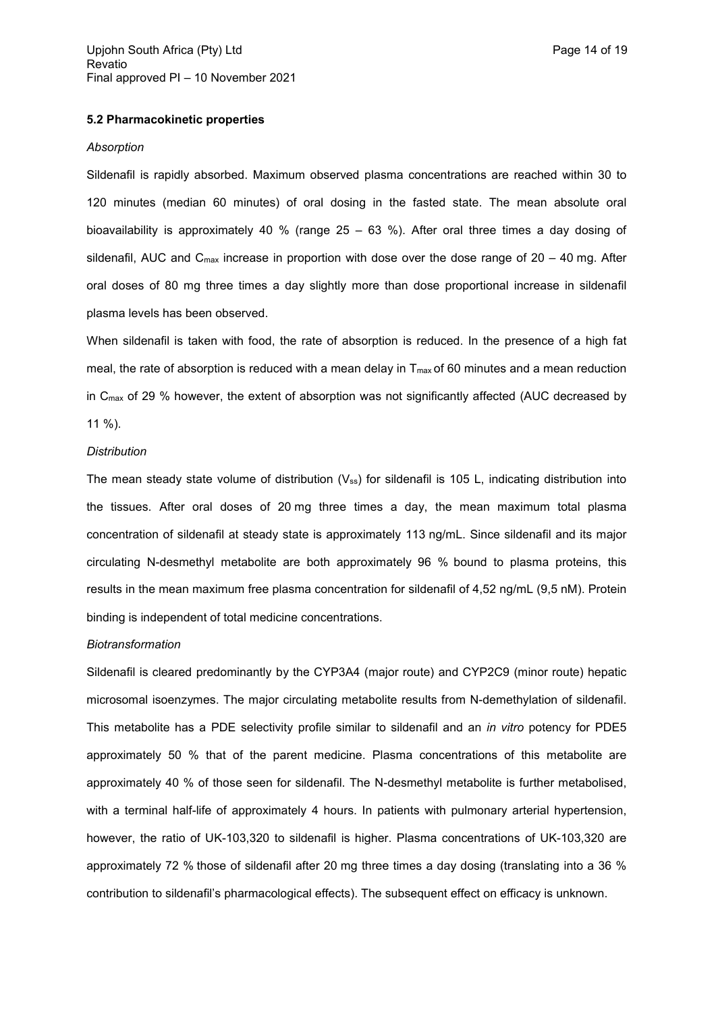## **5.2 Pharmacokinetic properties**

#### *Absorption*

Sildenafil is rapidly absorbed. Maximum observed plasma concentrations are reached within 30 to 120 minutes (median 60 minutes) of oral dosing in the fasted state. The mean absolute oral bioavailability is approximately 40 % (range 25 – 63 %). After oral three times a day dosing of sildenafil, AUC and  $C_{\text{max}}$  increase in proportion with dose over the dose range of 20 – 40 mg. After oral doses of 80 mg three times a day slightly more than dose proportional increase in sildenafil plasma levels has been observed.

When sildenafil is taken with food, the rate of absorption is reduced. In the presence of a high fat meal, the rate of absorption is reduced with a mean delay in  $T_{\text{max}}$  of 60 minutes and a mean reduction in C<sub>max</sub> of 29 % however, the extent of absorption was not significantly affected (AUC decreased by 11 %).

#### *Distribution*

The mean steady state volume of distribution  $(V_{ss})$  for sildenafil is 105 L, indicating distribution into the tissues. After oral doses of 20 mg three times a day, the mean maximum total plasma concentration of sildenafil at steady state is approximately 113 ng/mL. Since sildenafil and its major circulating N-desmethyl metabolite are both approximately 96 % bound to plasma proteins, this results in the mean maximum free plasma concentration for sildenafil of 4,52 ng/mL (9,5 nM). Protein binding is independent of total medicine concentrations.

#### *Biotransformation*

Sildenafil is cleared predominantly by the CYP3A4 (major route) and CYP2C9 (minor route) hepatic microsomal isoenzymes. The major circulating metabolite results from N-demethylation of sildenafil. This metabolite has a PDE selectivity profile similar to sildenafil and an *in vitro* potency for PDE5 approximately 50 % that of the parent medicine. Plasma concentrations of this metabolite are approximately 40 % of those seen for sildenafil. The N-desmethyl metabolite is further metabolised, with a terminal half-life of approximately 4 hours. In patients with pulmonary arterial hypertension, however, the ratio of UK-103,320 to sildenafil is higher. Plasma concentrations of UK-103,320 are approximately 72 % those of sildenafil after 20 mg three times a day dosing (translating into a 36 % contribution to sildenafil's pharmacological effects). The subsequent effect on efficacy is unknown.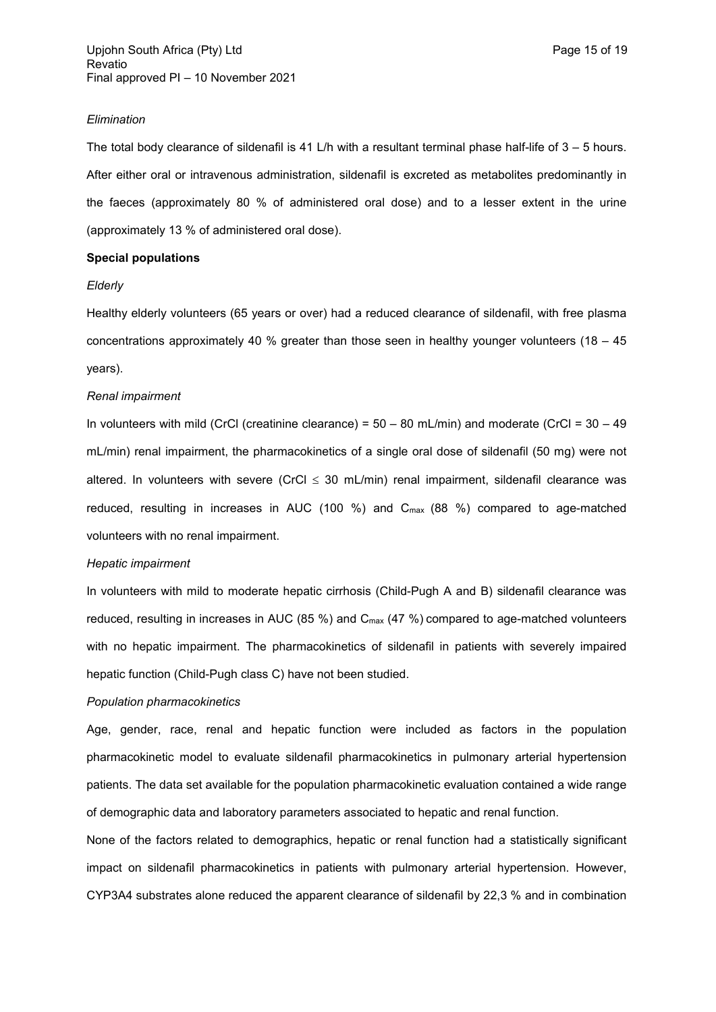#### *Elimination*

The total body clearance of sildenafil is 41 L/h with a resultant terminal phase half-life of  $3 - 5$  hours. After either oral or intravenous administration, sildenafil is excreted as metabolites predominantly in the faeces (approximately 80 % of administered oral dose) and to a lesser extent in the urine (approximately 13 % of administered oral dose).

### **Special populations**

#### *Elderly*

Healthy elderly volunteers (65 years or over) had a reduced clearance of sildenafil, with free plasma concentrations approximately 40 % greater than those seen in healthy younger volunteers (18 – 45 years).

### *Renal impairment*

In volunteers with mild (CrCl (creatinine clearance) =  $50 - 80$  mL/min) and moderate (CrCl =  $30 - 49$ mL/min) renal impairment, the pharmacokinetics of a single oral dose of sildenafil (50 mg) were not altered. In volunteers with severe (CrCl  $\leq$  30 mL/min) renal impairment, sildenafil clearance was reduced, resulting in increases in AUC (100 %) and Cmax (88 %) compared to age-matched volunteers with no renal impairment.

### *Hepatic impairment*

In volunteers with mild to moderate hepatic cirrhosis (Child-Pugh A and B) sildenafil clearance was reduced, resulting in increases in AUC (85 %) and Cmax (47 %) compared to age-matched volunteers with no hepatic impairment. The pharmacokinetics of sildenafil in patients with severely impaired hepatic function (Child-Pugh class C) have not been studied.

#### *Population pharmacokinetics*

Age, gender, race, renal and hepatic function were included as factors in the population pharmacokinetic model to evaluate sildenafil pharmacokinetics in pulmonary arterial hypertension patients. The data set available for the population pharmacokinetic evaluation contained a wide range of demographic data and laboratory parameters associated to hepatic and renal function.

None of the factors related to demographics, hepatic or renal function had a statistically significant impact on sildenafil pharmacokinetics in patients with pulmonary arterial hypertension. However, CYP3A4 substrates alone reduced the apparent clearance of sildenafil by 22,3 % and in combination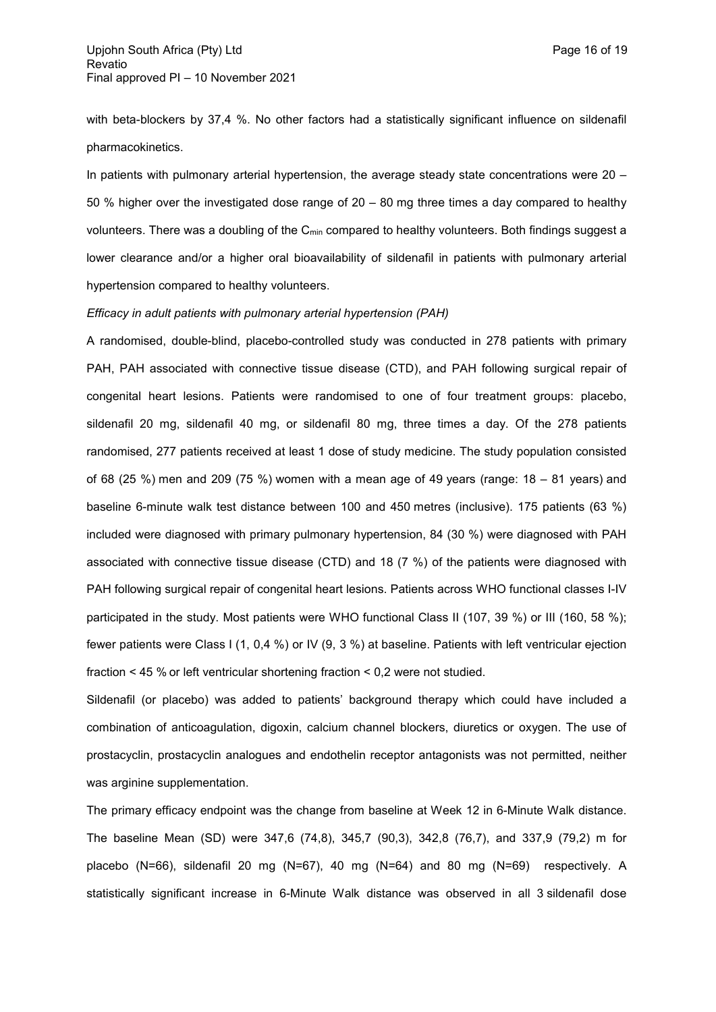with beta-blockers by 37,4 %. No other factors had a statistically significant influence on sildenafil pharmacokinetics.

In patients with pulmonary arterial hypertension, the average steady state concentrations were 20 – 50 % higher over the investigated dose range of 20 – 80 mg three times a day compared to healthy volunteers. There was a doubling of the C<sub>min</sub> compared to healthy volunteers. Both findings suggest a lower clearance and/or a higher oral bioavailability of sildenafil in patients with pulmonary arterial hypertension compared to healthy volunteers.

### *Efficacy in adult patients with pulmonary arterial hypertension (PAH)*

A randomised, double-blind, placebo-controlled study was conducted in 278 patients with primary PAH, PAH associated with connective tissue disease (CTD), and PAH following surgical repair of congenital heart lesions. Patients were randomised to one of four treatment groups: placebo, sildenafil 20 mg, sildenafil 40 mg, or sildenafil 80 mg, three times a day. Of the 278 patients randomised, 277 patients received at least 1 dose of study medicine. The study population consisted of 68 (25 %) men and 209 (75 %) women with a mean age of 49 years (range:  $18 - 81$  years) and baseline 6-minute walk test distance between 100 and 450 metres (inclusive). 175 patients (63 %) included were diagnosed with primary pulmonary hypertension, 84 (30 %) were diagnosed with PAH associated with connective tissue disease (CTD) and 18 (7 %) of the patients were diagnosed with PAH following surgical repair of congenital heart lesions. Patients across WHO functional classes I-IV participated in the study. Most patients were WHO functional Class II (107, 39 %) or III (160, 58 %); fewer patients were Class I (1, 0,4 %) or IV (9, 3 %) at baseline. Patients with left ventricular ejection fraction < 45 % or left ventricular shortening fraction < 0,2 were not studied.

Sildenafil (or placebo) was added to patients' background therapy which could have included a combination of anticoagulation, digoxin, calcium channel blockers, diuretics or oxygen. The use of prostacyclin, prostacyclin analogues and endothelin receptor antagonists was not permitted, neither was arginine supplementation.

The primary efficacy endpoint was the change from baseline at Week 12 in 6-Minute Walk distance. The baseline Mean (SD) were 347,6 (74,8), 345,7 (90,3), 342,8 (76,7), and 337,9 (79,2) m for placebo (N=66), sildenafil 20 mg (N=67), 40 mg (N=64) and 80 mg (N=69) respectively. A statistically significant increase in 6-Minute Walk distance was observed in all 3 sildenafil dose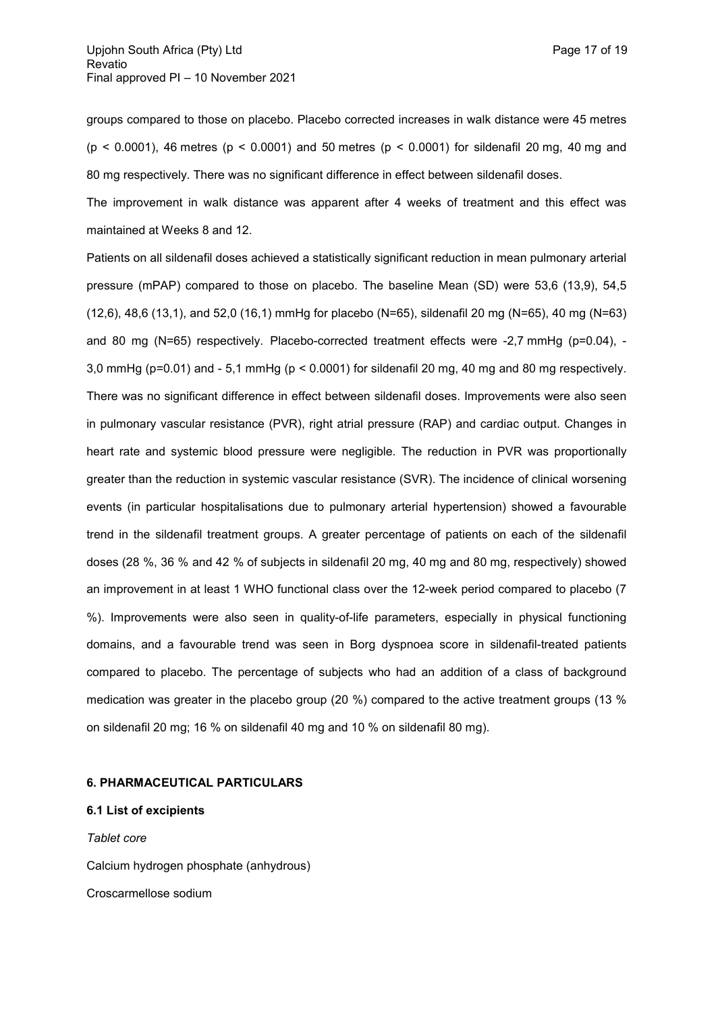groups compared to those on placebo. Placebo corrected increases in walk distance were 45 metres  $(p < 0.0001)$ , 46 metres  $(p < 0.0001)$  and 50 metres  $(p < 0.0001)$  for sildenafil 20 mg, 40 mg and 80 mg respectively. There was no significant difference in effect between sildenafil doses.

The improvement in walk distance was apparent after 4 weeks of treatment and this effect was maintained at Weeks 8 and 12.

Patients on all sildenafil doses achieved a statistically significant reduction in mean pulmonary arterial pressure (mPAP) compared to those on placebo. The baseline Mean (SD) were 53,6 (13,9), 54,5 (12,6), 48,6 (13,1), and 52,0 (16,1) mmHg for placebo (N=65), sildenafil 20 mg (N=65), 40 mg (N=63) and 80 mg ( $N=65$ ) respectively. Placebo-corrected treatment effects were -2,7 mmHg ( $p=0.04$ ), -3,0 mmHg (p=0.01) and - 5,1 mmHg (p < 0.0001) for sildenafil 20 mg, 40 mg and 80 mg respectively. There was no significant difference in effect between sildenafil doses. Improvements were also seen in pulmonary vascular resistance (PVR), right atrial pressure (RAP) and cardiac output. Changes in heart rate and systemic blood pressure were negligible. The reduction in PVR was proportionally greater than the reduction in systemic vascular resistance (SVR). The incidence of clinical worsening events (in particular hospitalisations due to pulmonary arterial hypertension) showed a favourable trend in the sildenafil treatment groups. A greater percentage of patients on each of the sildenafil doses (28 %, 36 % and 42 % of subjects in sildenafil 20 mg, 40 mg and 80 mg, respectively) showed an improvement in at least 1 WHO functional class over the 12-week period compared to placebo (7 %). Improvements were also seen in quality-of-life parameters, especially in physical functioning domains, and a favourable trend was seen in Borg dyspnoea score in sildenafil-treated patients compared to placebo. The percentage of subjects who had an addition of a class of background medication was greater in the placebo group (20 %) compared to the active treatment groups (13 % on sildenafil 20 mg; 16 % on sildenafil 40 mg and 10 % on sildenafil 80 mg).

## **6. PHARMACEUTICAL PARTICULARS**

**6.1 List of excipients**

*Tablet core* Calcium hydrogen phosphate (anhydrous) Croscarmellose sodium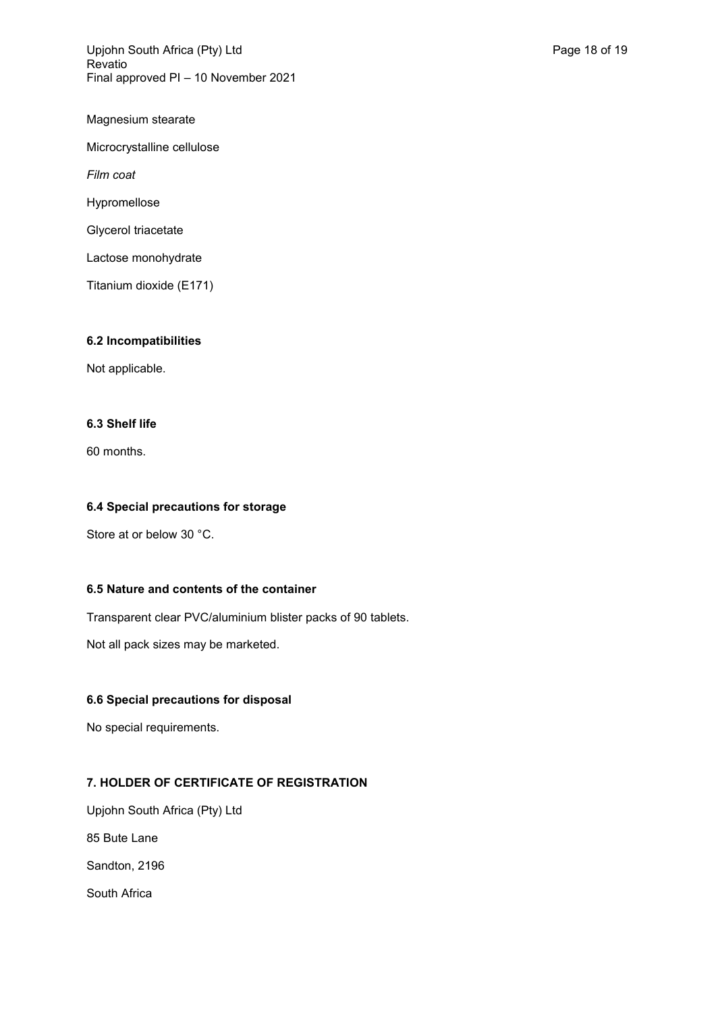Upjohn South Africa (Pty) Ltd **Page 18 of 19** Page 18 of 19 Revatio Final approved PI – 10 November 2021

Magnesium stearate Microcrystalline cellulose *Film coat* Hypromellose Glycerol triacetate Lactose monohydrate Titanium dioxide (E171)

## **6.2 Incompatibilities**

Not applicable.

## **6.3 Shelf life**

60 months.

## **6.4 Special precautions for storage**

Store at or below 30 °C.

## **6.5 Nature and contents of the container**

Transparent clear PVC/aluminium blister packs of 90 tablets.

Not all pack sizes may be marketed.

## **6.6 Special precautions for disposal**

No special requirements.

# **7. HOLDER OF CERTIFICATE OF REGISTRATION**

Upjohn South Africa (Pty) Ltd 85 Bute Lane Sandton, 2196 South Africa